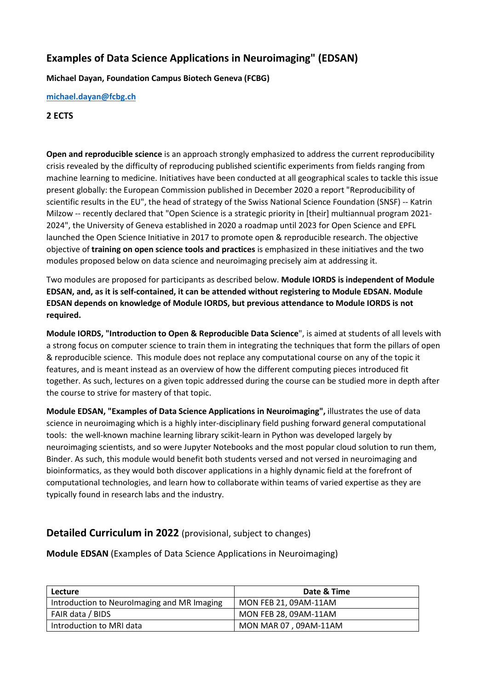# **Examples of Data Science Applications in Neuroimaging" (EDSAN)**

**Michael Dayan, Foundation Campus Biotech Geneva (FCBG)**

#### **[michael.dayan@fcbg.ch](mailto:michael.dayan@fcbg.ch)**

#### **2 ECTS**

**Open and reproducible science** is an approach strongly emphasized to address the current reproducibility crisis revealed by the difficulty of reproducing published scientific experiments from fields ranging from machine learning to medicine. Initiatives have been conducted at all geographical scales to tackle this issue present globally: the European Commission published in December 2020 a report "Reproducibility of scientific results in the EU", the head of strategy of the Swiss National Science Foundation (SNSF) -- Katrin Milzow -- recently declared that "Open Science is a strategic priority in [their] multiannual program 2021- 2024", the University of Geneva established in 2020 a roadmap until 2023 for Open Science and EPFL launched the Open Science Initiative in 2017 to promote open & reproducible research. The objective objective of **training on open science tools and practices** is emphasized in these initiatives and the two modules proposed below on data science and neuroimaging precisely aim at addressing it.

Two modules are proposed for participants as described below. **Module IORDS is independent of Module EDSAN, and, as it is self-contained, it can be attended without registering to Module EDSAN. Module EDSAN depends on knowledge of Module IORDS, but previous attendance to Module IORDS is not required.**

**Module IORDS, "Introduction to Open & Reproducible Data Science**", is aimed at students of all levels with a strong focus on computer science to train them in integrating the techniques that form the pillars of open & reproducible science. This module does not replace any computational course on any of the topic it features, and is meant instead as an overview of how the different computing pieces introduced fit together. As such, lectures on a given topic addressed during the course can be studied more in depth after the course to strive for mastery of that topic.

**Module EDSAN, "Examples of Data Science Applications in Neuroimaging",** illustrates the use of data science in neuroimaging which is a highly inter-disciplinary field pushing forward general computational tools: the well-known machine learning library scikit-learn in Python was developed largely by neuroimaging scientists, and so were Jupyter Notebooks and the most popular cloud solution to run them, Binder. As such, this module would benefit both students versed and not versed in neuroimaging and bioinformatics, as they would both discover applications in a highly dynamic field at the forefront of computational technologies, and learn how to collaborate within teams of varied expertise as they are typically found in research labs and the industry.

## **Detailed Curriculum in 2022** (provisional, subject to changes)

**Module EDSAN** (Examples of Data Science Applications in Neuroimaging)

| Lecture                                     | Date & Time           |
|---------------------------------------------|-----------------------|
| Introduction to Neurolmaging and MR Imaging | MON FEB 21, 09AM-11AM |
| FAIR data / BIDS                            | MON FEB 28, 09AM-11AM |
| Introduction to MRI data                    | MON MAR 07, 09AM-11AM |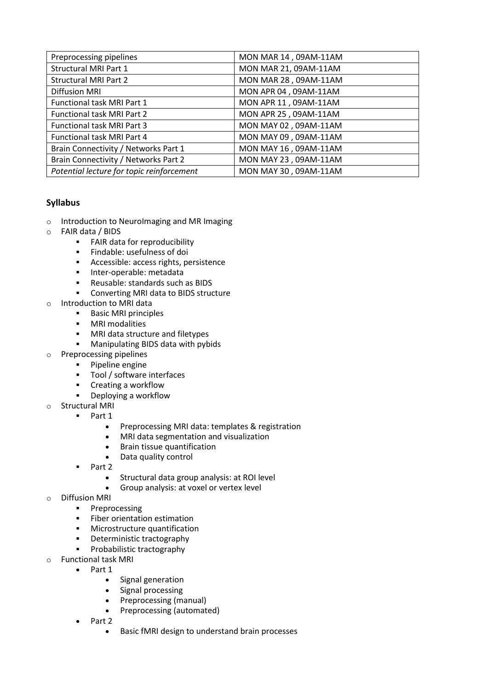| Preprocessing pipelines                   | MON MAR 14, 09AM-11AM |
|-------------------------------------------|-----------------------|
| <b>Structural MRI Part 1</b>              | MON MAR 21, 09AM-11AM |
| <b>Structural MRI Part 2</b>              | MON MAR 28, 09AM-11AM |
| <b>Diffusion MRI</b>                      | MON APR 04, 09AM-11AM |
| Functional task MRI Part 1                | MON APR 11, 09AM-11AM |
| <b>Functional task MRI Part 2</b>         | MON APR 25, 09AM-11AM |
| <b>Functional task MRI Part 3</b>         | MON MAY 02, 09AM-11AM |
| Functional task MRI Part 4                | MON MAY 09, 09AM-11AM |
| Brain Connectivity / Networks Part 1      | MON MAY 16, 09AM-11AM |
| Brain Connectivity / Networks Part 2      | MON MAY 23, 09AM-11AM |
| Potential lecture for topic reinforcement | MON MAY 30, 09AM-11AM |

### **Syllabus**

- o Introduction to NeuroImaging and MR Imaging
- o FAIR data / BIDS
	- **FAIR data for reproducibility**
	- **Findable: usefulness of doi**
	- **Accessible: access rights, persistence**
	- **Inter-operable: metadata**
	- Reusable: standards such as BIDS
	- **EXECONVERTING MRI data to BIDS structure**
- o Introduction to MRI data
	- **Basic MRI principles**
	- **•** MRI modalities
	- **MRI data structure and filetypes**
	- **Manipulating BIDS data with pybids**
- o Preprocessing pipelines
	- **•** Pipeline engine
	- **Tool / software interfaces**
	- **EXECT** Creating a workflow
	- Deploying a workflow
- o Structural MRI
	- Part 1
		- Preprocessing MRI data: templates & registration<br>• MRI data segmentation and visualization
		- MRI data segmentation and visualization
		- Brain tissue quantification
		- Data quality control
	- Part 2
		- Structural data group analysis: at ROI level
		- Group analysis: at voxel or vertex level
- o Diffusion MRI
	- **Preprocessing**
	- **Fiber orientation estimation**
	- **•** Microstructure quantification
	- **•** Deterministic tractography
	- Probabilistic tractography
- o Functional task MRI
	- Part 1
		- Signal generation
		- Signal processing
		- Preprocessing (manual)
		- Preprocessing (automated)
		- Part 2
			- Basic fMRI design to understand brain processes